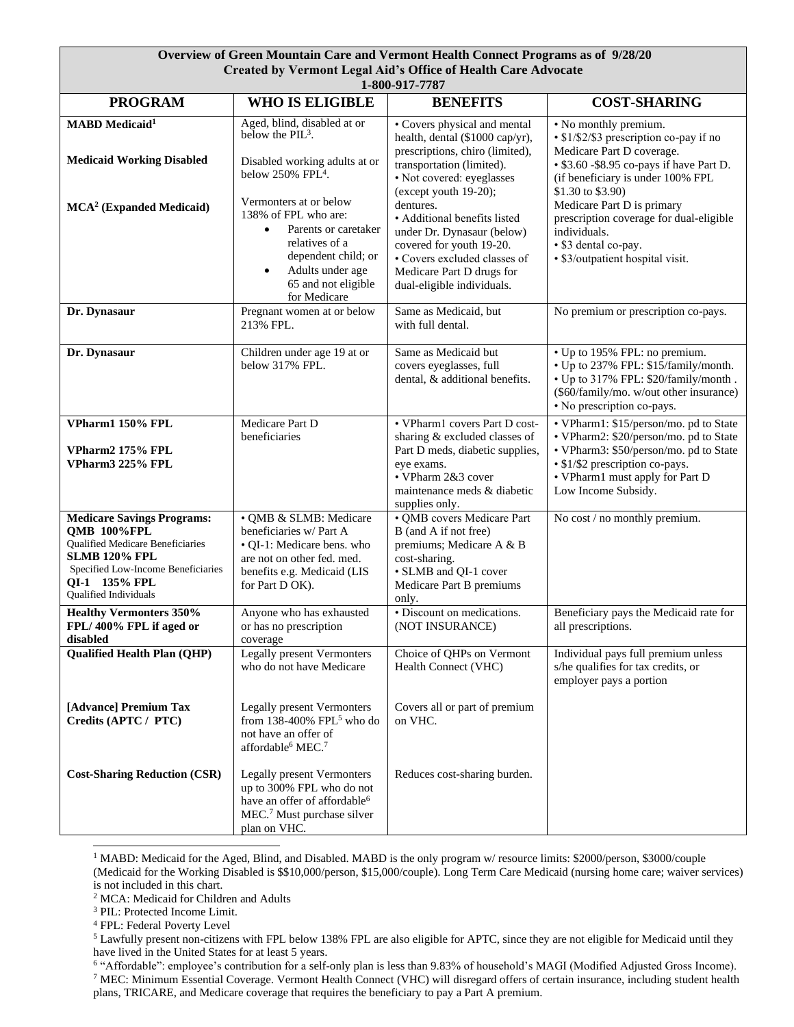## **Overview of Green Mountain Care and Vermont Health Connect Programs as of 9/28/20 Created by Vermont Legal Aid's Office of Health Care Advocate**

| 1-800-917-7787                                                        |                                                                                                                                                                                                      |                                                                                                                                                                                                |                                                                                                                                                                                                      |  |  |  |  |  |  |
|-----------------------------------------------------------------------|------------------------------------------------------------------------------------------------------------------------------------------------------------------------------------------------------|------------------------------------------------------------------------------------------------------------------------------------------------------------------------------------------------|------------------------------------------------------------------------------------------------------------------------------------------------------------------------------------------------------|--|--|--|--|--|--|
| <b>PROGRAM</b>                                                        | <b>WHO IS ELIGIBLE</b>                                                                                                                                                                               | <b>BENEFITS</b>                                                                                                                                                                                | <b>COST-SHARING</b>                                                                                                                                                                                  |  |  |  |  |  |  |
| <b>MABD</b> Medicaid <sup>1</sup><br><b>Medicaid Working Disabled</b> | Aged, blind, disabled at or<br>below the $PIL^3$ .<br>Disabled working adults at or<br>below $250\%$ FPL <sup>4</sup> .                                                                              | • Covers physical and mental<br>health, dental (\$1000 cap/yr),<br>prescriptions, chiro (limited),<br>transportation (limited).<br>· Not covered: eyeglasses<br>(except youth 19-20);          | • No monthly premium.<br>• \$1/\$2/\$3 prescription co-pay if no<br>Medicare Part D coverage.<br>• \$3.60 - \$8.95 co-pays if have Part D.<br>(if beneficiary is under 100% FPL<br>\$1.30 to \$3.90) |  |  |  |  |  |  |
| MCA <sup>2</sup> (Expanded Medicaid)                                  | Vermonters at or below<br>138% of FPL who are:<br>Parents or caretaker<br>$\bullet$<br>relatives of a<br>dependent child; or<br>Adults under age<br>$\bullet$<br>65 and not eligible<br>for Medicare | dentures.<br>· Additional benefits listed<br>under Dr. Dynasaur (below)<br>covered for youth 19-20.<br>• Covers excluded classes of<br>Medicare Part D drugs for<br>dual-eligible individuals. | Medicare Part D is primary<br>prescription coverage for dual-eligible<br>individuals.<br>• \$3 dental co-pay.<br>· \$3/outpatient hospital visit.                                                    |  |  |  |  |  |  |
| Dr. Dynasaur                                                          | Pregnant women at or below<br>213% FPL.                                                                                                                                                              | Same as Medicaid, but<br>with full dental.                                                                                                                                                     | No premium or prescription co-pays.                                                                                                                                                                  |  |  |  |  |  |  |
| Dr. Dynasaur                                                          | Children under age 19 at or<br>below 317% FPL.                                                                                                                                                       | Same as Medicaid but<br>covers eyeglasses, full<br>dental, & additional benefits.                                                                                                              | • Up to 195% FPL: no premium.<br>• Up to 237% FPL: \$15/family/month.<br>• Up to 317% FPL: \$20/family/month.<br>(\$60/family/mo. w/out other insurance)<br>• No prescription co-pays.               |  |  |  |  |  |  |
| VPharm1 150% FPL                                                      | Medicare Part D<br>beneficiaries                                                                                                                                                                     | • VPharm1 covers Part D cost-<br>sharing & excluded classes of                                                                                                                                 | • VPharm1: \$15/person/mo. pd to State<br>• VPharm2: \$20/person/mo. pd to State                                                                                                                     |  |  |  |  |  |  |
| VPharm2 175% FPL<br>VPharm3 225% FPL                                  |                                                                                                                                                                                                      | Part D meds, diabetic supplies,<br>eye exams.<br>• VPharm 2&3 cover<br>maintenance meds & diabetic<br>supplies only.                                                                           | • VPharm3: \$50/person/mo. pd to State<br>• \$1/\$2 prescription co-pays.<br>• VPharm1 must apply for Part D<br>Low Income Subsidy.                                                                  |  |  |  |  |  |  |
| <b>Medicare Savings Programs:</b>                                     | · QMB & SLMB: Medicare                                                                                                                                                                               | · QMB covers Medicare Part                                                                                                                                                                     | No cost / no monthly premium.                                                                                                                                                                        |  |  |  |  |  |  |
| QMB 100%FPL<br>Qualified Medicare Beneficiaries                       | beneficiaries w/Part A<br>• QI-1: Medicare bens. who                                                                                                                                                 | B (and A if not free)<br>premiums; Medicare A & B                                                                                                                                              |                                                                                                                                                                                                      |  |  |  |  |  |  |
| <b>SLMB 120% FPL</b><br>Specified Low-Income Beneficiaries            | are not on other fed. med.                                                                                                                                                                           | cost-sharing.<br>• SLMB and QI-1 cover                                                                                                                                                         |                                                                                                                                                                                                      |  |  |  |  |  |  |
| OI-1 135% FPL<br>Qualified Individuals                                | benefits e.g. Medicaid (LIS<br>for Part D OK).                                                                                                                                                       | Medicare Part B premiums<br>only.                                                                                                                                                              |                                                                                                                                                                                                      |  |  |  |  |  |  |
| <b>Healthy Vermonters 350%</b><br>FPL/400% FPL if aged or<br>disabled | Anyone who has exhausted<br>or has no prescription<br>coverage                                                                                                                                       | · Discount on medications.<br>(NOT INSURANCE)                                                                                                                                                  | Beneficiary pays the Medicaid rate for<br>all prescriptions.                                                                                                                                         |  |  |  |  |  |  |
| <b>Qualified Health Plan (QHP)</b>                                    | <b>Legally present Vermonters</b><br>who do not have Medicare                                                                                                                                        | Choice of QHPs on Vermont<br>Health Connect (VHC)                                                                                                                                              | Individual pays full premium unless<br>s/he qualifies for tax credits, or<br>employer pays a portion                                                                                                 |  |  |  |  |  |  |
| [Advance] Premium Tax<br>Credits (APTC / PTC)                         | <b>Legally present Vermonters</b><br>from $138-400\%$ FPL <sup>5</sup> who do<br>not have an offer of<br>affordable <sup>6</sup> MEC. <sup>7</sup>                                                   | Covers all or part of premium<br>on VHC.                                                                                                                                                       |                                                                                                                                                                                                      |  |  |  |  |  |  |
| <b>Cost-Sharing Reduction (CSR)</b>                                   | <b>Legally present Vermonters</b><br>up to 300% FPL who do not<br>have an offer of affordable <sup>6</sup><br>MEC. <sup>7</sup> Must purchase silver<br>plan on VHC.                                 | Reduces cost-sharing burden.                                                                                                                                                                   |                                                                                                                                                                                                      |  |  |  |  |  |  |

<sup>1</sup> MABD: Medicaid for the Aged, Blind, and Disabled. MABD is the only program w/ resource limits: \$2000/person, \$3000/couple (Medicaid for the Working Disabled is \$\$10,000/person, \$15,000/couple). Long Term Care Medicaid (nursing home care; waiver services)

is not included in this chart.

<sup>2</sup> MCA: Medicaid for Children and Adults

<sup>3</sup> PIL: Protected Income Limit.

<sup>4</sup> FPL: Federal Poverty Level

<sup>6</sup> "Affordable": employee's contribution for a self-only plan is less than 9.83% of household's MAGI (Modified Adjusted Gross Income).  $7$  MEC: Minimum Essential Coverage. Vermont Health Connect (VHC) will disregard offers of certain insurance, including student health plans, TRICARE, and Medicare coverage that requires the beneficiary to pay a Part A premium.

<sup>5</sup> Lawfully present non-citizens with FPL below 138% FPL are also eligible for APTC, since they are not eligible for Medicaid until they have lived in the United States for at least 5 years.